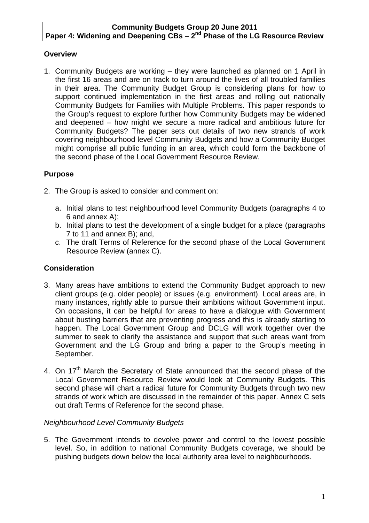# **Overview**

1. Community Budgets are working – they were launched as planned on 1 April in the first 16 areas and are on track to turn around the lives of all troubled families in their area. The Community Budget Group is considering plans for how to support continued implementation in the first areas and rolling out nationally Community Budgets for Families with Multiple Problems. This paper responds to the Group's request to explore further how Community Budgets may be widened and deepened – how might we secure a more radical and ambitious future for Community Budgets? The paper sets out details of two new strands of work covering neighbourhood level Community Budgets and how a Community Budget might comprise all public funding in an area, which could form the backbone of the second phase of the Local Government Resource Review.

# **Purpose**

- 2. The Group is asked to consider and comment on:
	- a. Initial plans to test neighbourhood level Community Budgets (paragraphs 4 to 6 and annex A);
	- b. Initial plans to test the development of a single budget for a place (paragraphs 7 to 11 and annex B); and,
	- c. The draft Terms of Reference for the second phase of the Local Government Resource Review (annex C).

# **Consideration**

- 3. Many areas have ambitions to extend the Community Budget approach to new client groups (e.g. older people) or issues (e.g. environment). Local areas are, in many instances, rightly able to pursue their ambitions without Government input. On occasions, it can be helpful for areas to have a dialogue with Government about busting barriers that are preventing progress and this is already starting to happen. The Local Government Group and DCLG will work together over the summer to seek to clarify the assistance and support that such areas want from Government and the LG Group and bring a paper to the Group's meeting in September.
- 4. On 17<sup>th</sup> March the Secretary of State announced that the second phase of the Local Government Resource Review would look at Community Budgets. This second phase will chart a radical future for Community Budgets through two new strands of work which are discussed in the remainder of this paper. Annex C sets out draft Terms of Reference for the second phase.

# *Neighbourhood Level Community Budgets*

5. The Government intends to devolve power and control to the lowest possible level. So, in addition to national Community Budgets coverage, we should be pushing budgets down below the local authority area level to neighbourhoods.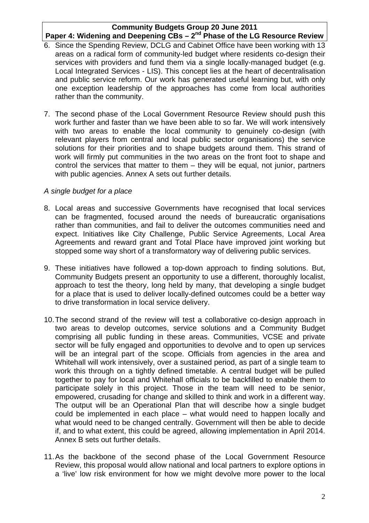- 6. Since the Spending Review, DCLG and Cabinet Office have been working with 13 areas on a radical form of community-led budget where residents co-design their services with providers and fund them via a single locally-managed budget (e.g. Local Integrated Services - LIS). This concept lies at the heart of decentralisation and public service reform. Our work has generated useful learning but, with only one exception leadership of the approaches has come from local authorities rather than the community.
- 7. The second phase of the Local Government Resource Review should push this work further and faster than we have been able to so far. We will work intensively with two areas to enable the local community to genuinely co-design (with relevant players from central and local public sector organisations) the service solutions for their priorities and to shape budgets around them. This strand of work will firmly put communities in the two areas on the front foot to shape and control the services that matter to them – they will be equal, not junior, partners with public agencies. Annex A sets out further details.

### *A single budget for a place*

- 8. Local areas and successive Governments have recognised that local services can be fragmented, focused around the needs of bureaucratic organisations rather than communities, and fail to deliver the outcomes communities need and expect. Initiatives like City Challenge, Public Service Agreements, Local Area Agreements and reward grant and Total Place have improved joint working but stopped some way short of a transformatory way of delivering public services.
- 9. These initiatives have followed a top-down approach to finding solutions. But, Community Budgets present an opportunity to use a different, thoroughly localist, approach to test the theory, long held by many, that developing a single budget for a place that is used to deliver locally-defined outcomes could be a better way to drive transformation in local service delivery.
- 10. The second strand of the review will test a collaborative co-design approach in two areas to develop outcomes, service solutions and a Community Budget comprising all public funding in these areas. Communities, VCSE and private sector will be fully engaged and opportunities to devolve and to open up services will be an integral part of the scope. Officials from agencies in the area and Whitehall will work intensively, over a sustained period, as part of a single team to work this through on a tightly defined timetable. A central budget will be pulled together to pay for local and Whitehall officials to be backfilled to enable them to participate solely in this project. Those in the team will need to be senior, empowered, crusading for change and skilled to think and work in a different way. The output will be an Operational Plan that will describe how a single budget could be implemented in each place – what would need to happen locally and what would need to be changed centrally. Government will then be able to decide if, and to what extent, this could be agreed, allowing implementation in April 2014. Annex B sets out further details.
- 11. As the backbone of the second phase of the Local Government Resource Review, this proposal would allow national and local partners to explore options in a 'live' low risk environment for how we might devolve more power to the local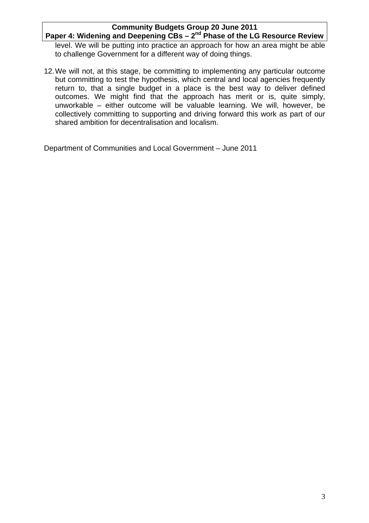level. We will be putting into practice an approach for how an area might be able to challenge Government for a different way of doing things.

12. We will not, at this stage, be committing to implementing any particular outcome but committing to test the hypothesis, which central and local agencies frequently return to, that a single budget in a place is the best way to deliver defined outcomes. We might find that the approach has merit or is, quite simply, unworkable – either outcome will be valuable learning. We will, however, be collectively committing to supporting and driving forward this work as part of our shared ambition for decentralisation and localism.

Department of Communities and Local Government – June 2011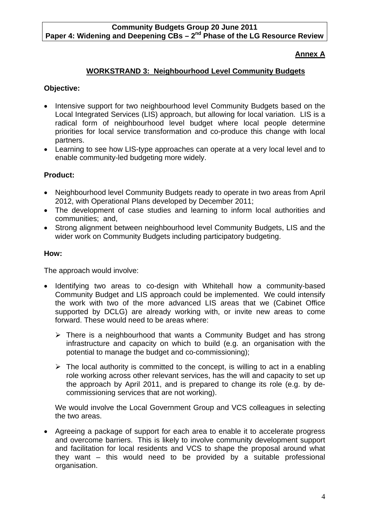# **Annex A**

# **WORKSTRAND 3: Neighbourhood Level Community Budgets**

# **Objective:**

- Intensive support for two neighbourhood level Community Budgets based on the Local Integrated Services (LIS) approach, but allowing for local variation. LIS is a radical form of neighbourhood level budget where local people determine priorities for local service transformation and co-produce this change with local partners.
- Learning to see how LIS-type approaches can operate at a very local level and to enable community-led budgeting more widely.

# **Product:**

- Neighbourhood level Community Budgets ready to operate in two areas from April 2012, with Operational Plans developed by December 2011;
- The development of case studies and learning to inform local authorities and communities; and,
- Strong alignment between neighbourhood level Community Budgets, LIS and the wider work on Community Budgets including participatory budgeting.

# **How:**

The approach would involve:

- Identifying two areas to co-design with Whitehall how a community-based Community Budget and LIS approach could be implemented. We could intensify the work with two of the more advanced LIS areas that we (Cabinet Office supported by DCLG) are already working with, or invite new areas to come forward. These would need to be areas where:
	- $\triangleright$  There is a neighbourhood that wants a Community Budget and has strong infrastructure and capacity on which to build (e.g. an organisation with the potential to manage the budget and co-commissioning);
	- $\triangleright$  The local authority is committed to the concept, is willing to act in a enabling role working across other relevant services, has the will and capacity to set up the approach by April 2011, and is prepared to change its role (e.g. by decommissioning services that are not working).

We would involve the Local Government Group and VCS colleagues in selecting the two areas.

• Agreeing a package of support for each area to enable it to accelerate progress and overcome barriers. This is likely to involve community development support and facilitation for local residents and VCS to shape the proposal around what they want – this would need to be provided by a suitable professional organisation.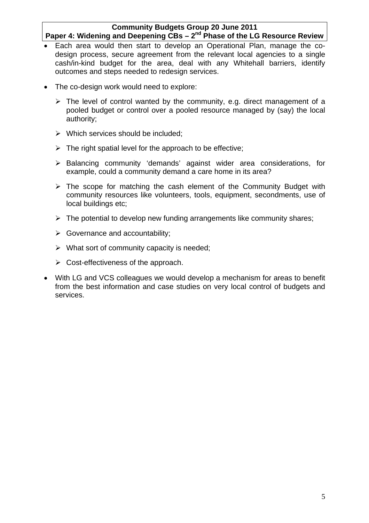- Each area would then start to develop an Operational Plan, manage the codesign process, secure agreement from the relevant local agencies to a single cash/in-kind budget for the area, deal with any Whitehall barriers, identify outcomes and steps needed to redesign services.
- The co-design work would need to explore:
	- $\triangleright$  The level of control wanted by the community, e.g. direct management of a pooled budget or control over a pooled resource managed by (say) the local authority;
	- $\triangleright$  Which services should be included:
	- $\triangleright$  The right spatial level for the approach to be effective;
	- ¾ Balancing community 'demands' against wider area considerations, for example, could a community demand a care home in its area?
	- $\triangleright$  The scope for matching the cash element of the Community Budget with community resources like volunteers, tools, equipment, secondments, use of local buildings etc;
	- $\triangleright$  The potential to develop new funding arrangements like community shares;
	- $\triangleright$  Governance and accountability;
	- $\triangleright$  What sort of community capacity is needed;
	- $\triangleright$  Cost-effectiveness of the approach.
- With LG and VCS colleagues we would develop a mechanism for areas to benefit from the best information and case studies on very local control of budgets and services.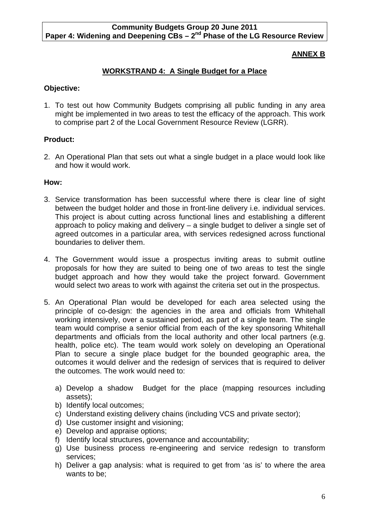# **ANNEX B**

# **WORKSTRAND 4: A Single Budget for a Place**

### **Objective:**

1. To test out how Community Budgets comprising all public funding in any area might be implemented in two areas to test the efficacy of the approach. This work to comprise part 2 of the Local Government Resource Review (LGRR).

## **Product:**

2. An Operational Plan that sets out what a single budget in a place would look like and how it would work.

### **How:**

- 3. Service transformation has been successful where there is clear line of sight between the budget holder and those in front-line delivery i.e. individual services. This project is about cutting across functional lines and establishing a different approach to policy making and delivery – a single budget to deliver a single set of agreed outcomes in a particular area, with services redesigned across functional boundaries to deliver them.
- 4. The Government would issue a prospectus inviting areas to submit outline proposals for how they are suited to being one of two areas to test the single budget approach and how they would take the project forward. Government would select two areas to work with against the criteria set out in the prospectus.
- 5. An Operational Plan would be developed for each area selected using the principle of co-design: the agencies in the area and officials from Whitehall working intensively, over a sustained period, as part of a single team. The single team would comprise a senior official from each of the key sponsoring Whitehall departments and officials from the local authority and other local partners (e.g. health, police etc). The team would work solely on developing an Operational Plan to secure a single place budget for the bounded geographic area, the outcomes it would deliver and the redesign of services that is required to deliver the outcomes. The work would need to:
	- a) Develop a shadow Budget for the place (mapping resources including assets);
	- b) Identify local outcomes;
	- c) Understand existing delivery chains (including VCS and private sector);
	- d) Use customer insight and visioning;
	- e) Develop and appraise options;
	- f) Identify local structures, governance and accountability;
	- g) Use business process re-engineering and service redesign to transform services;
	- h) Deliver a gap analysis: what is required to get from 'as is' to where the area wants to be;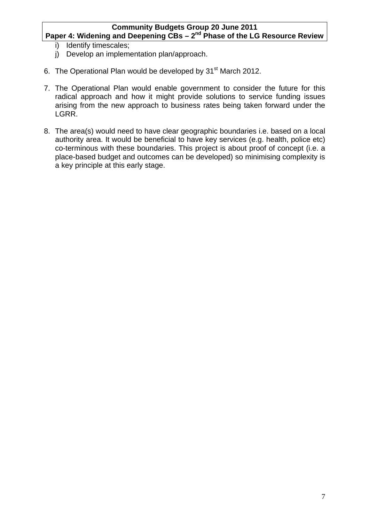- i) Identify timescales:
- j) Develop an implementation plan/approach.
- 6. The Operational Plan would be developed by 31<sup>st</sup> March 2012.
- 7. The Operational Plan would enable government to consider the future for this radical approach and how it might provide solutions to service funding issues arising from the new approach to business rates being taken forward under the LGRR.
- 8. The area(s) would need to have clear geographic boundaries i.e. based on a local authority area. It would be beneficial to have key services (e.g. health, police etc) co-terminous with these boundaries. This project is about proof of concept (i.e. a place-based budget and outcomes can be developed) so minimising complexity is a key principle at this early stage.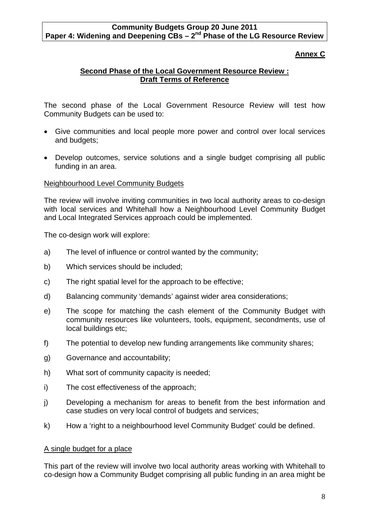# **Annex C**

# **Second Phase of the Local Government Resource Review : Draft Terms of Reference**

The second phase of the Local Government Resource Review will test how Community Budgets can be used to:

- Give communities and local people more power and control over local services and budgets;
- Develop outcomes, service solutions and a single budget comprising all public funding in an area.

## Neighbourhood Level Community Budgets

The review will involve inviting communities in two local authority areas to co-design with local services and Whitehall how a Neighbourhood Level Community Budget and Local Integrated Services approach could be implemented.

The co-design work will explore:

- a) The level of influence or control wanted by the community;
- b) Which services should be included;
- c) The right spatial level for the approach to be effective;
- d) Balancing community 'demands' against wider area considerations;
- e) The scope for matching the cash element of the Community Budget with community resources like volunteers, tools, equipment, secondments, use of local buildings etc;
- f) The potential to develop new funding arrangements like community shares;
- g) Governance and accountability;
- h) What sort of community capacity is needed;
- i) The cost effectiveness of the approach;
- j) Developing a mechanism for areas to benefit from the best information and case studies on very local control of budgets and services;
- k) How a 'right to a neighbourhood level Community Budget' could be defined.

### A single budget for a place

This part of the review will involve two local authority areas working with Whitehall to co-design how a Community Budget comprising all public funding in an area might be